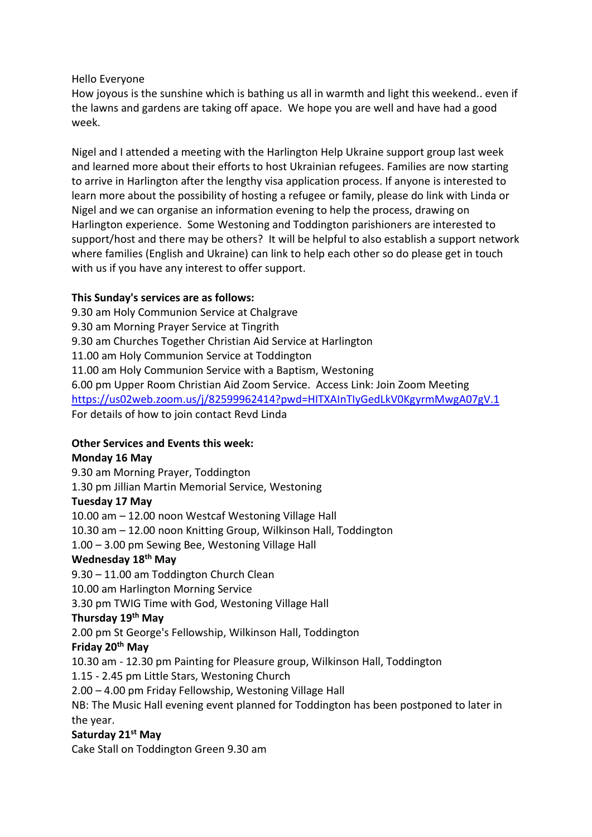### Hello Everyone

How joyous is the sunshine which is bathing us all in warmth and light this weekend.. even if the lawns and gardens are taking off apace. We hope you are well and have had a good week.

Nigel and I attended a meeting with the Harlington Help Ukraine support group last week and learned more about their efforts to host Ukrainian refugees. Families are now starting to arrive in Harlington after the lengthy visa application process. If anyone is interested to learn more about the possibility of hosting a refugee or family, please do link with Linda or Nigel and we can organise an information evening to help the process, drawing on Harlington experience. Some Westoning and Toddington parishioners are interested to support/host and there may be others? It will be helpful to also establish a support network where families (English and Ukraine) can link to help each other so do please get in touch with us if you have any interest to offer support.

# **This Sunday's services are as follows:**

9.30 am Holy Communion Service at Chalgrave 9.30 am Morning Prayer Service at Tingrith 9.30 am Churches Together Christian Aid Service at Harlington 11.00 am Holy Communion Service at Toddington 11.00 am Holy Communion Service with a Baptism, Westoning 6.00 pm Upper Room Christian Aid Zoom Service. Access Link: Join Zoom Meeting <https://us02web.zoom.us/j/82599962414?pwd=HITXAInTIyGedLkV0KgyrmMwgA07gV.1> For details of how to join contact Revd Linda

# **Other Services and Events this week:**

# **Monday 16 May**

9.30 am Morning Prayer, Toddington 1.30 pm Jillian Martin Memorial Service, Westoning **Tuesday 17 May** 10.00 am – 12.00 noon Westcaf Westoning Village Hall 10.30 am – 12.00 noon Knitting Group, Wilkinson Hall, Toddington 1.00 – 3.00 pm Sewing Bee, Westoning Village Hall **Wednesday 18th May** 9.30 – 11.00 am Toddington Church Clean 10.00 am Harlington Morning Service 3.30 pm TWIG Time with God, Westoning Village Hall **Thursday 19th May** 2.00 pm St George's Fellowship, Wilkinson Hall, Toddington **Friday 20th May** 10.30 am - 12.30 pm Painting for Pleasure group, Wilkinson Hall, Toddington 1.15 - 2.45 pm Little Stars, Westoning Church 2.00 – 4.00 pm Friday Fellowship, Westoning Village Hall NB: The Music Hall evening event planned for Toddington has been postponed to later in the year.

# **Saturday 21st May**

Cake Stall on Toddington Green 9.30 am